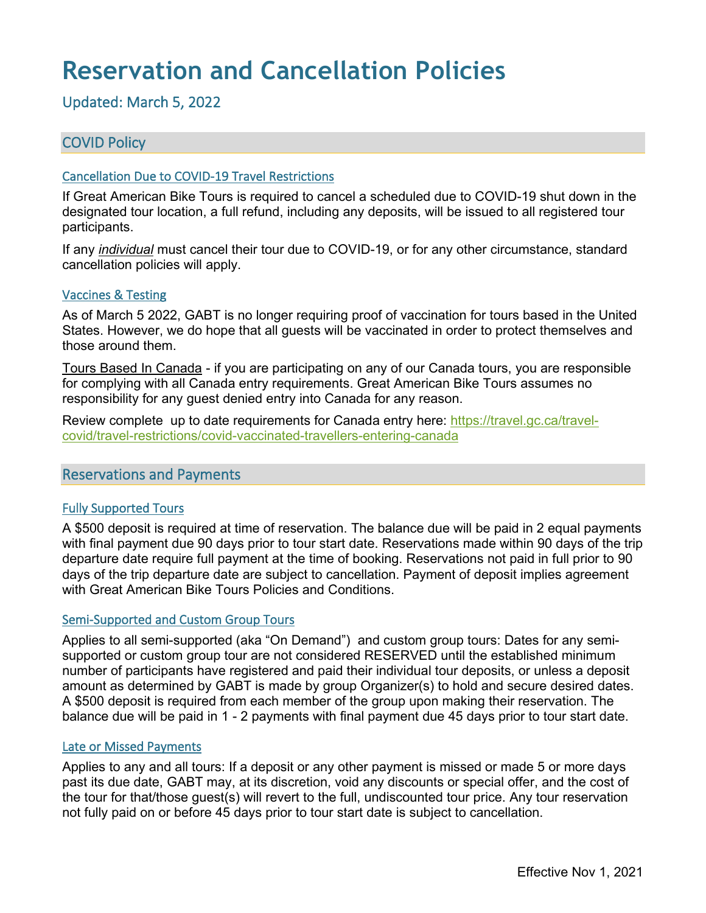# **Reservation and Cancellation Policies**

Updated: March 5, 2022

# COVID Policy

#### Cancellation Due to COVID-19 Travel Restrictions

If Great American Bike Tours is required to cancel a scheduled due to COVID-19 shut down in the designated tour location, a full refund, including any deposits, will be issued to all registered tour participants.

If any *individual* must cancel their tour due to COVID-19, or for any other circumstance, standard cancellation policies will apply.

#### Vaccines & Testing

As of March 5 2022, GABT is no longer requiring proof of vaccination for tours based in the United States. However, we do hope that all guests will be vaccinated in order to protect themselves and those around them.

Tours Based In Canada - if you are participating on any of our Canada tours, you are responsible for complying with all Canada entry requirements. Great American Bike Tours assumes no responsibility for any guest denied entry into Canada for any reason.

Review complete up to date requirements for Canada entry here: [https://travel.gc.ca/travel](https://travel.gc.ca/travel-covid/travel-restrictions/covid-vaccinated-travellers-entering-canada)[covid/travel-restrictions/covid-vaccinated-travellers-entering-canada](https://travel.gc.ca/travel-covid/travel-restrictions/covid-vaccinated-travellers-entering-canada)

## Reservations and Payments

#### Fully Supported Tours

A \$500 deposit is required at time of reservation. The balance due will be paid in 2 equal payments with final payment due 90 days prior to tour start date. Reservations made within 90 days of the trip departure date require full payment at the time of booking. Reservations not paid in full prior to 90 days of the trip departure date are subject to cancellation. Payment of deposit implies agreement with Great American Bike Tours Policies and Conditions.

#### Semi-Supported and Custom Group Tours

Applies to all semi-supported (aka "On Demand") and custom group tours: Dates for any semisupported or custom group tour are not considered RESERVED until the established minimum number of participants have registered and paid their individual tour deposits, or unless a deposit amount as determined by GABT is made by group Organizer(s) to hold and secure desired dates. A \$500 deposit is required from each member of the group upon making their reservation. The balance due will be paid in 1 - 2 payments with final payment due 45 days prior to tour start date.

#### Late or Missed Payments

Applies to any and all tours: If a deposit or any other payment is missed or made 5 or more days past its due date, GABT may, at its discretion, void any discounts or special offer, and the cost of the tour for that/those guest(s) will revert to the full, undiscounted tour price. Any tour reservation not fully paid on or before 45 days prior to tour start date is subject to cancellation.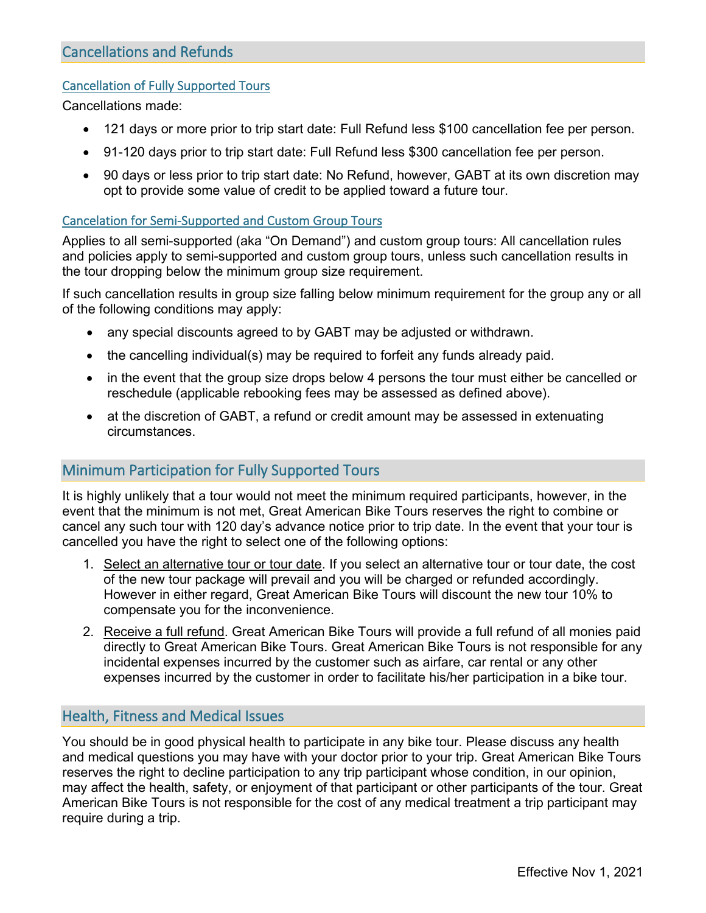#### Cancellation of Fully Supported Tours

Cancellations made:

- 121 days or more prior to trip start date: Full Refund less \$100 cancellation fee per person.
- 91-120 days prior to trip start date: Full Refund less \$300 cancellation fee per person.
- 90 days or less prior to trip start date: No Refund, however, GABT at its own discretion may opt to provide some value of credit to be applied toward a future tour.

#### Cancelation for Semi-Supported and Custom Group Tours

Applies to all semi-supported (aka "On Demand") and custom group tours: All cancellation rules and policies apply to semi-supported and custom group tours, unless such cancellation results in the tour dropping below the minimum group size requirement.

If such cancellation results in group size falling below minimum requirement for the group any or all of the following conditions may apply:

- any special discounts agreed to by GABT may be adjusted or withdrawn.
- the cancelling individual(s) may be required to forfeit any funds already paid.
- in the event that the group size drops below 4 persons the tour must either be cancelled or reschedule (applicable rebooking fees may be assessed as defined above).
- at the discretion of GABT, a refund or credit amount may be assessed in extenuating circumstances.

# Minimum Participation for Fully Supported Tours

It is highly unlikely that a tour would not meet the minimum required participants, however, in the event that the minimum is not met, Great American Bike Tours reserves the right to combine or cancel any such tour with 120 day's advance notice prior to trip date. In the event that your tour is cancelled you have the right to select one of the following options:

- 1. Select an alternative tour or tour date. If you select an alternative tour or tour date, the cost of the new tour package will prevail and you will be charged or refunded accordingly. However in either regard, Great American Bike Tours will discount the new tour 10% to compensate you for the inconvenience.
- 2. Receive a full refund. Great American Bike Tours will provide a full refund of all monies paid directly to Great American Bike Tours. Great American Bike Tours is not responsible for any incidental expenses incurred by the customer such as airfare, car rental or any other expenses incurred by the customer in order to facilitate his/her participation in a bike tour.

## Health, Fitness and Medical Issues

You should be in good physical health to participate in any bike tour. Please discuss any health and medical questions you may have with your doctor prior to your trip. Great American Bike Tours reserves the right to decline participation to any trip participant whose condition, in our opinion, may affect the health, safety, or enjoyment of that participant or other participants of the tour. Great American Bike Tours is not responsible for the cost of any medical treatment a trip participant may require during a trip.